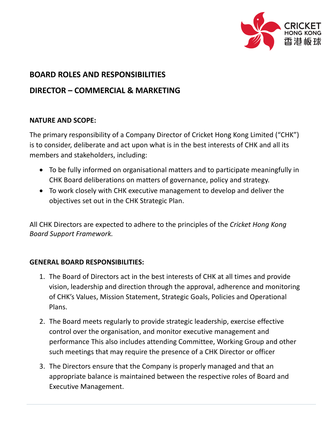

# **BOARD ROLES AND RESPONSIBILITIES**

## **DIRECTOR – COMMERCIAL & MARKETING**

#### **NATURE AND SCOPE:**

The primary responsibility of a Company Director of Cricket Hong Kong Limited ("CHK") is to consider, deliberate and act upon what is in the best interests of CHK and all its members and stakeholders, including:

- To be fully informed on organisational matters and to participate meaningfully in CHK Board deliberations on matters of governance, policy and strategy.
- To work closely with CHK executive management to develop and deliver the objectives set out in the CHK Strategic Plan.

All CHK Directors are expected to adhere to the principles of the *Cricket Hong Kong Board Support Framework.*

### **GENERAL BOARD RESPONSIBILITIES:**

- 1. The Board of Directors act in the best interests of CHK at all times and provide vision, leadership and direction through the approval, adherence and monitoring of CHK's Values, Mission Statement, Strategic Goals, Policies and Operational Plans.
- 2. The Board meets regularly to provide strategic leadership, exercise effective control over the organisation, and monitor executive management and performance This also includes attending Committee, Working Group and other such meetings that may require the presence of a CHK Director or officer
- 3. The Directors ensure that the Company is properly managed and that an appropriate balance is maintained between the respective roles of Board and Executive Management.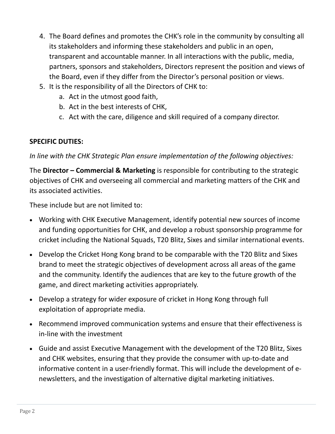- 4. The Board defines and promotes the CHK's role in the community by consulting all its stakeholders and informing these stakeholders and public in an open, transparent and accountable manner. In all interactions with the public, media, partners, sponsors and stakeholders, Directors represent the position and views of the Board, even if they differ from the Director's personal position or views.
- 5. It is the responsibility of all the Directors of CHK to:
	- a. Act in the utmost good faith,
	- b. Act in the best interests of CHK,
	- c. Act with the care, diligence and skill required of a company director.

#### **SPECIFIC DUTIES:**

*In line with the CHK Strategic Plan ensure implementation of the following objectives:*

The **Director – Commercial & Marketing** is responsible for contributing to the strategic objectives of CHK and overseeing all commercial and marketing matters of the CHK and its associated activities.

These include but are not limited to:

- Working with CHK Executive Management, identify potential new sources of income and funding opportunities for CHK, and develop a robust sponsorship programme for cricket including the National Squads, T20 Blitz, Sixes and similar international events.
- Develop the Cricket Hong Kong brand to be comparable with the T20 Blitz and Sixes brand to meet the strategic objectives of development across all areas of the game and the community. Identify the audiences that are key to the future growth of the game, and direct marketing activities appropriately.
- Develop a strategy for wider exposure of cricket in Hong Kong through full exploitation of appropriate media.
- Recommend improved communication systems and ensure that their effectiveness is in-line with the investment
- Guide and assist Executive Management with the development of the T20 Blitz, Sixes and CHK websites, ensuring that they provide the consumer with up-to-date and informative content in a user-friendly format. This will include the development of enewsletters, and the investigation of alternative digital marketing initiatives.